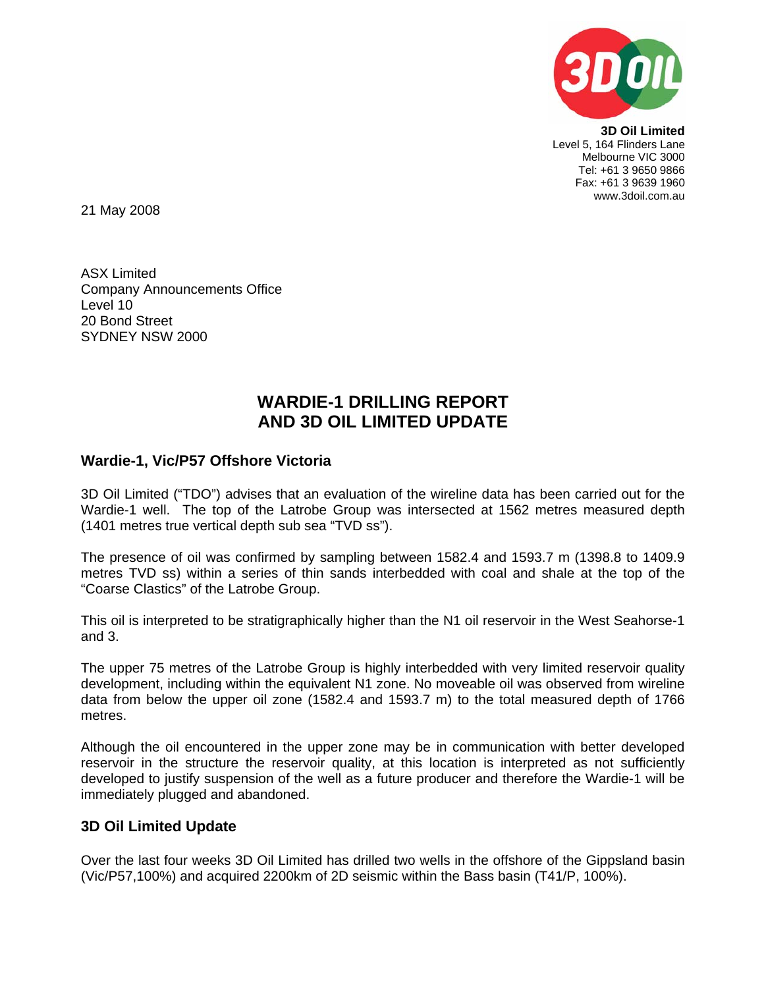

**3D Oil Limited**  Level 5, 164 Flinders Lane Melbourne VIC 3000 Tel: +61 3 9650 9866 Fax: +61 3 9639 1960 www.3doil.com.au

21 May 2008

ASX Limited Company Announcements Office Level 10 20 Bond Street SYDNEY NSW 2000

## **WARDIE-1 DRILLING REPORT AND 3D OIL LIMITED UPDATE**

## **Wardie-1, Vic/P57 Offshore Victoria**

3D Oil Limited ("TDO") advises that an evaluation of the wireline data has been carried out for the Wardie-1 well. The top of the Latrobe Group was intersected at 1562 metres measured depth (1401 metres true vertical depth sub sea "TVD ss").

The presence of oil was confirmed by sampling between 1582.4 and 1593.7 m (1398.8 to 1409.9 metres TVD ss) within a series of thin sands interbedded with coal and shale at the top of the "Coarse Clastics" of the Latrobe Group.

This oil is interpreted to be stratigraphically higher than the N1 oil reservoir in the West Seahorse-1 and 3.

The upper 75 metres of the Latrobe Group is highly interbedded with very limited reservoir quality development, including within the equivalent N1 zone. No moveable oil was observed from wireline data from below the upper oil zone (1582.4 and 1593.7 m) to the total measured depth of 1766 metres.

Although the oil encountered in the upper zone may be in communication with better developed reservoir in the structure the reservoir quality, at this location is interpreted as not sufficiently developed to justify suspension of the well as a future producer and therefore the Wardie-1 will be immediately plugged and abandoned.

## **3D Oil Limited Update**

Over the last four weeks 3D Oil Limited has drilled two wells in the offshore of the Gippsland basin (Vic/P57,100%) and acquired 2200km of 2D seismic within the Bass basin (T41/P, 100%).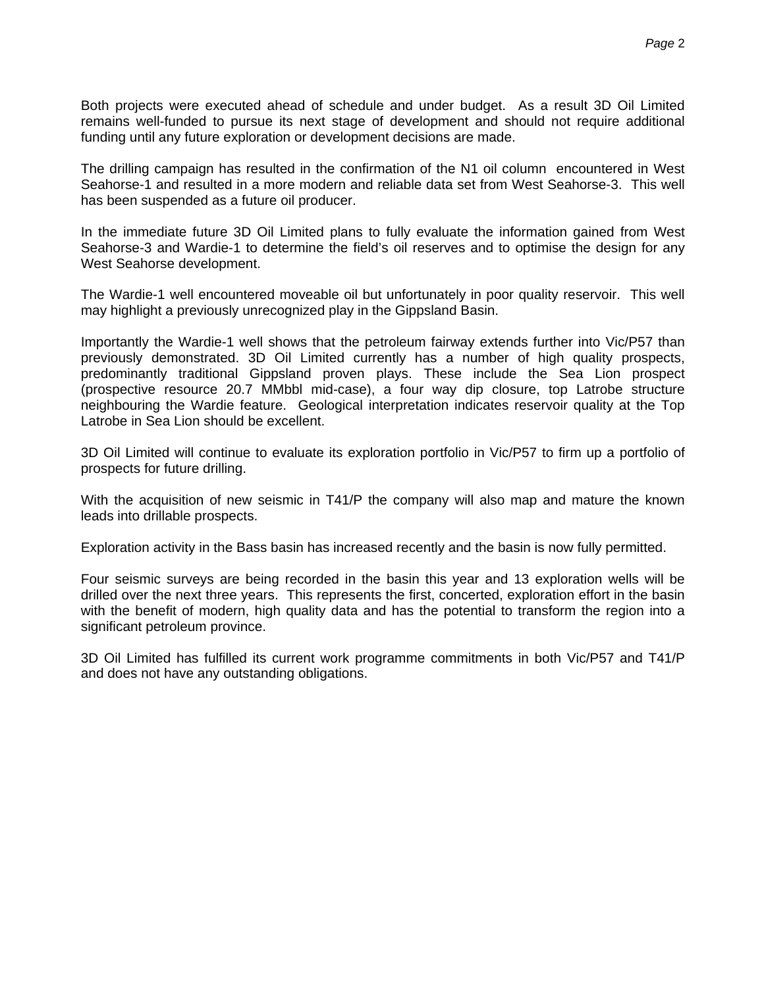Both projects were executed ahead of schedule and under budget. As a result 3D Oil Limited remains well-funded to pursue its next stage of development and should not require additional funding until any future exploration or development decisions are made.

The drilling campaign has resulted in the confirmation of the N1 oil column encountered in West Seahorse-1 and resulted in a more modern and reliable data set from West Seahorse-3. This well has been suspended as a future oil producer.

In the immediate future 3D Oil Limited plans to fully evaluate the information gained from West Seahorse-3 and Wardie-1 to determine the field's oil reserves and to optimise the design for any West Seahorse development.

The Wardie-1 well encountered moveable oil but unfortunately in poor quality reservoir. This well may highlight a previously unrecognized play in the Gippsland Basin.

Importantly the Wardie-1 well shows that the petroleum fairway extends further into Vic/P57 than previously demonstrated. 3D Oil Limited currently has a number of high quality prospects, predominantly traditional Gippsland proven plays. These include the Sea Lion prospect (prospective resource 20.7 MMbbl mid-case), a four way dip closure, top Latrobe structure neighbouring the Wardie feature. Geological interpretation indicates reservoir quality at the Top Latrobe in Sea Lion should be excellent.

3D Oil Limited will continue to evaluate its exploration portfolio in Vic/P57 to firm up a portfolio of prospects for future drilling.

With the acquisition of new seismic in T41/P the company will also map and mature the known leads into drillable prospects.

Exploration activity in the Bass basin has increased recently and the basin is now fully permitted.

Four seismic surveys are being recorded in the basin this year and 13 exploration wells will be drilled over the next three years. This represents the first, concerted, exploration effort in the basin with the benefit of modern, high quality data and has the potential to transform the region into a significant petroleum province.

3D Oil Limited has fulfilled its current work programme commitments in both Vic/P57 and T41/P and does not have any outstanding obligations.